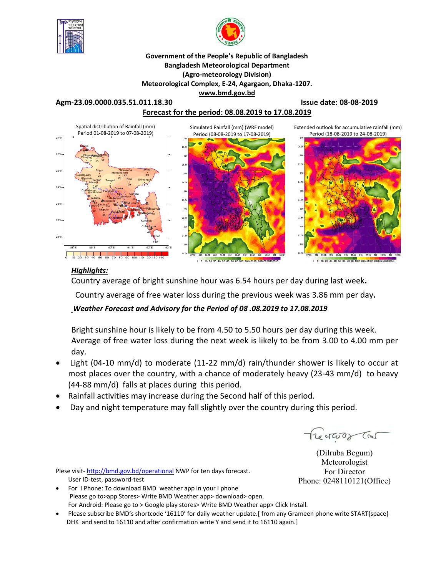



#### **Government of the People's Republic of Bangladesh Bangladesh Meteorological Department (Agro-meteorology Division) Meteorological Complex, E-24, Agargaon, Dhaka-1207. www.bmd.gov.bd**

**Agm-23.09.0000.035.51.011.18.30 Issue date: 08-08-2019**

### **Forecast for the period: 08.08.2019 to 17.08.2019**



#### *Highlights:*

Country average of bright sunshine hour was 6.54 hours per day during last week**.**

Country average of free water loss during the previous week was 3.86 mm per day**.** 

### *Weather Forecast and Advisory for the Period of 08 .08.2019 to 17.08.2019*

Bright sunshine hour is likely to be from 4.50 to 5.50 hours per day during this week. Average of free water loss during the next week is likely to be from 3.00 to 4.00 mm per day.

- Light (04-10 mm/d) to moderate (11-22 mm/d) rain/thunder shower is likely to occur at most places over the country, with a chance of moderately heavy (23-43 mm/d) to heavy (44-88 mm/d) falls at places during this period.
- Rainfall activities may increase during the Second half of this period.
- Day and night temperature may fall slightly over the country during this period.

Treater Tre

(Dilruba Begum) Meteorologist For Director Phone: 0248110121(Office)

Plese visit-http://bmd.gov.bd/operational NWP for ten days forecast. User ID-test, password-test

- For I Phone: To download BMD weather app in your I phone Please go to>app Stores> Write BMD Weather app> download> open. For Android: Please go to > Google play stores> Write BMD Weather app> Click Install.
- Please subscribe BMD's shortcode '16110' for daily weather update.[ from any Grameen phone write START{space} DHK and send to 16110 and after confirmation write Y and send it to 16110 again.]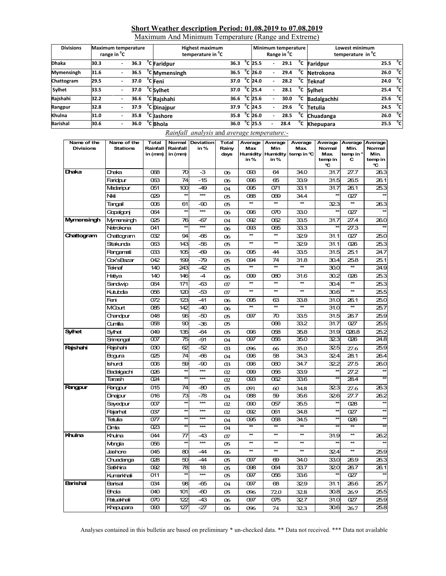#### **Short Weather description Period: 01.08.2019 to 07.08.2019**

Maximum And Minimum Temperature (Range and Extreme)

| <b>Divisions</b> | <b>Maximum temperature</b><br>range in <sup>o</sup> C |                          |      |  | <b>Highest maximum</b><br>temperature in <sup>o</sup> C |      |  | Minimum temperature<br>Range in <sup>o</sup> C |                          | Lowest minimum<br>temperature in <sup>°</sup> C |              |                       |                     |    |
|------------------|-------------------------------------------------------|--------------------------|------|--|---------------------------------------------------------|------|--|------------------------------------------------|--------------------------|-------------------------------------------------|--------------|-----------------------|---------------------|----|
| <b>Dhaka</b>     | 30.3                                                  | $\overline{\phantom{a}}$ | 36.3 |  | °C Faridpur                                             | 36.3 |  | $^{\circ}$ C 25.5                              | $\overline{\phantom{a}}$ | 29.1                                            | °c           | Faridpur              | 25.5 $^{\circ}$ C   |    |
| Mymensingh       | 31.6                                                  |                          | 36.5 |  | <sup>o</sup> C Mymensingh                               | 36.5 |  | °C 26.0                                        |                          | 29.4                                            | °c           | Netrokona             | 26.0                | °c |
| Chattogram       | 29.5                                                  |                          | 37.0 |  | °C Feni                                                 | 37.0 |  | °C 24.0                                        |                          | 28.2                                            | °c           | <b>Teknaf</b>         | 24.0 $^{\circ}$ C   |    |
| Sylhet           | 33.5                                                  |                          | 37.0 |  | <sup>°</sup> C Sylhet                                   | 37.0 |  | $^{\circ}$ C 25.4                              |                          | 28.1                                            |              | $\overline{C}$ Sylhet | 25.4 $^{\circ}$ C   |    |
| Rajshahi         | 32.2                                                  |                          | 36.6 |  | <sup>o</sup> CRajshahi                                  | 36.6 |  | $^{\circ}$ C 25.6                              |                          | 30.0                                            | °c           | <b>Badalgachhi</b>    | 25.6 <sup>o</sup> C |    |
| Rangpur          | 32.8                                                  | $\blacksquare$           | 37.9 |  | <sup>o</sup> C Dinajpur                                 | 37.9 |  | $^{\circ}$ C 24.5                              |                          | 29.6                                            | °c           | Tetulia               | 24.5 $\degree$ C    |    |
| Khulna           | 31.0                                                  |                          | 35.8 |  | <sup>°</sup> C Jashore                                  | 35.8 |  | $^{\circ}$ C 26.0                              |                          | 28.5                                            | $^{\circ}$ c | Chuadanga             | 26.0 $^{\circ}$ C   |    |
| <b>Barishal</b>  | 30.6                                                  |                          | 36.0 |  | <sup>o</sup> C Bhola                                    | 36.0 |  | °C 25.5                                        |                          | 28.4                                            | °c           | <b>Khepupara</b>      | 25.5 $^{\circ}$ C   |    |

#### *Rainfall analysis* and *average temperature:-*

| Name of the<br><b>Divisions</b> | Name of the<br><b>Stations</b> | Total<br>Rainfall       | Normal<br>Rainfall       | Deviation<br>in%  | Total<br>Rainy | Average<br>Max          | Average<br>Min           | Average<br><b>Max</b> | Average<br>Normal | Average<br>Min.  | Average<br>Normal       |
|---------------------------------|--------------------------------|-------------------------|--------------------------|-------------------|----------------|-------------------------|--------------------------|-----------------------|-------------------|------------------|-------------------------|
|                                 |                                | in (mm)                 | in (mm)                  |                   | days           |                         | <b>Humidity Humidity</b> | temp in $C$           | Max.              | temp in °        | Min.                    |
|                                 |                                |                         |                          |                   |                | in $%$                  | in $%$                   |                       | temp in<br>۹C     | с                | temp in<br>C            |
| Dhaka                           | Dhaka                          | 068                     | 70                       | $-3$              | 06             | 093                     | 64                       | 34.0                  | 31.7              | 27.7             | 26.3                    |
|                                 | Faridpur                       | 063                     | 74                       | $-15$             | 06             | 096                     | 65                       | 33.9                  | 31.5              | 26.5             | 26.1                    |
|                                 | Madaripur                      | 051                     | 100                      | -49               | 04             | 095                     | 071                      | 33.1                  | 31.7              | 26.1             | 25.3                    |
|                                 | Nki                            | 029                     | $\star\star$             | $***$             | 05             | 088                     | 069                      | 34.4                  | 石                 | 027              | $\overline{\mathbf{t}}$ |
|                                 | Tangail                        | ൕ                       | 61                       | -90               | 05             | $\star\star$            | $\star\star$             | $**$                  | 323               | $\star\star$     | 26.3                    |
|                                 | Gopalgonj                      | 064                     | $\star\star$             | $***$             | 06             | 096                     | 070                      | 33.0                  |                   | 027              |                         |
| Mymensingh                      | Mymensingh                     | 025                     | 76                       | -67               | 04             | 092                     | 062                      | 33.5                  | 31.7              | 27.4             | 26.0                    |
|                                 | Netrokona                      | 041                     | $\overline{\phantom{a}}$ | $\star\star\star$ | 06             | œз                      | 065                      | 33.3                  |                   | 27.3             |                         |
| Chattogram                      | Chattogram                     | 032                     | 94                       | -66               | 06             | 枺                       | $\star\star$             | 329                   | 31.1              | 027              | 25.0                    |
|                                 | Sitakunda                      | 063                     | 143                      | -56               | 05             | $\star\star$            | $\star\star$             | 329                   | 31.1              | 026              | 25.3                    |
|                                 | Rangamati                      | œз                      | 105                      | -69               | 06             | 095                     | 44                       | 33.5                  | 31.5              | 25.1             | 24.7                    |
|                                 | Cox'sBazar                     | 042                     | 199                      | $-79$             | 05             | 094                     | 74                       | 31.8                  | 30.4              | 25.8             | 25.1                    |
|                                 | Teknaf                         | 140                     | 243                      | $-42$             | 05             | $\star$                 | $\star\star$             | $\star\star$          | 30.0              | $\star\star$     | 24.9                    |
|                                 | Hatiya                         | 140                     | 146                      | $-4$              | 06             | 099                     | 080                      | 31.6                  | 30.2              | 026              | 25.3                    |
|                                 | Sandwip                        | 064                     | 171                      | -63               | 07             | $\overline{\star\star}$ | $\star\star$             | $*$                   | 30.4              | $\star\star$     | 25.3                    |
|                                 | Kutubdia                       | 056                     | 120                      | -53               | 07             | $\overline{\ast}$       | $**$                     | $**$                  | 30.6              | $\star\star$     | 25.5                    |
|                                 | Feni                           | 072                     | 123                      | $-41$             | 06             | 095                     | 63                       | 33.8                  | 31.0              | 26.1             | 25.0                    |
|                                 | MCourt                         | 085                     | 142                      | $-40$             | 06             | $\star$                 | $\star\star$             | $\star\star$          | 31.0              | $\star\star$     | 25.7                    |
|                                 | Chandpur                       | 048                     | 96                       | -50               | 05             | 097                     | 70                       | 33.5                  | 31.5              | 26.7             | 25.9                    |
|                                 | Qumilla                        | $\overline{\text{058}}$ | 90                       | -36               | 05             |                         | 066                      | $\overline{33.2}$     | 31.7              | $\overline{027}$ | 25.5                    |
| <b>Sylhet</b>                   | Sylhet                         | 049                     | 135                      | $-64$             | 05             | 096                     | 058                      | 35.8                  | 31.9              | 026.8            | 25.2                    |
|                                 | Srimongal                      | 007                     | 75                       | -91               | 04             | 097                     | 056                      | 35.0                  | 323               | 026              | 24.8                    |
| Rajshahi                        | Raishahi                       | $\infty$                | 62                       | -52               | <sub>Q3</sub>  | 096                     | 66                       | 35.0                  | 325               | 27.6             | 25.9                    |
|                                 | Bogura                         | 025                     | 74                       | -66               | 04             | 096                     | 58                       | 34.3                  | 324               | 28.1             | 26.4                    |
|                                 | Ishurdi                        | $\infty$                | 59                       | -90               | œ              | 096                     | 060                      | 34.7                  | 32.2              | 27.5             | 26.0                    |
|                                 | Badalgachi                     | 026                     | $\star\star$             | $***$             | 02             | 099                     | 056                      | 33.9                  |                   | 27.2             |                         |
|                                 | Tarash                         | $\overline{624}$        | $\star\star$             | $***$             | 02             | $\overline{\text{003}}$ | 062                      | 33.6                  |                   | 284              |                         |
| Rangpur                         | Rangpur                        | 015                     | 74                       | -80               | 05             | 091                     | 60                       | 34.8                  | 323               | 27.6             | 26.3                    |
|                                 | Dinajpur                       | 016                     | 73                       | $-78$             | 04             | 088                     | 59                       | 35.6                  | 326               | 27.7             | 26.2                    |
|                                 | Sayedpur                       | 007                     | $\star$                  | $***$             | 02             | 090                     | 057                      | 35.5                  | $\star$           | 028              |                         |
|                                 | Rajarhat                       | 037                     | $\star\star$             | $***$             | 02             | 092                     | 061                      | 34.8                  | ¥                 | 027              | $\star$                 |
|                                 | Tetulia                        | 077                     | $\star$                  | ***               | 04             | 095                     | 058                      | 34.5                  | $\star$           | 026              |                         |
|                                 | Dimta                          | 023                     | ŧ                        | ***               | 04             | $\star\star$            | $**$                     | $\star\star$          |                   | $**$             | 力                       |
| Khulna                          | Khulna                         | 044                     | 77                       | -43               | 07             | $\star\star$            | $\star\star$             | $\star\star$          | 31.9              | $**$             | 26.2                    |
|                                 | Mongla                         | 056                     | w                        | $***$             | 05             | $\star\star$            | $\star\star$             | $\star\star$          |                   | $\star\star$     |                         |
|                                 | Jashore                        | 045                     | 80                       | $-44$             | 06             | $\overline{\ast}$       | $\star\star$             | $\star\star$          | 324               | $\star\star$     | 25.9                    |
|                                 | Chuadanga                      | 028                     | 50                       | $-44$             | 05             | 097                     | 69                       | 34.0                  | 33.0              | 26.9             | 26.3                    |
|                                 | Satkhira                       | 092                     | 78                       | 18                | 05             | 098                     | 064                      | 33.7                  | 320               | 26.7             | 26.1                    |
|                                 | Kumarkhali                     | 011                     |                          | $***$             | 05             | 097                     | 056                      | 33.6                  |                   | 027              |                         |
| <b>Barishal</b>                 | Barisal                        | 034                     | 98                       | -65               | 04             | 097                     | 68                       | 329                   | 31.1              | 26.6             | 25.7                    |
|                                 | <b>Bhola</b>                   | 040                     | 101                      | $-\infty$         | 05             | 096                     | 72.0                     | 32.8                  | 30.8              | 26.9             | 25.5                    |
|                                 | <b>Patuakhali</b>              | 070                     | 122                      | $-43$             | 06             | 097                     | 075                      | 327                   | 31.0              | 027              | 25.9                    |
|                                 | Khepupara                      | œз                      | 127                      | -27               | 06             | 096                     | 74                       | 32.3                  | 30.6              | 26.7             | 25.8                    |

Analyses contained in this bulletin are based on preliminary \* un-checked data. \*\* Data not received. \*\*\* Data not available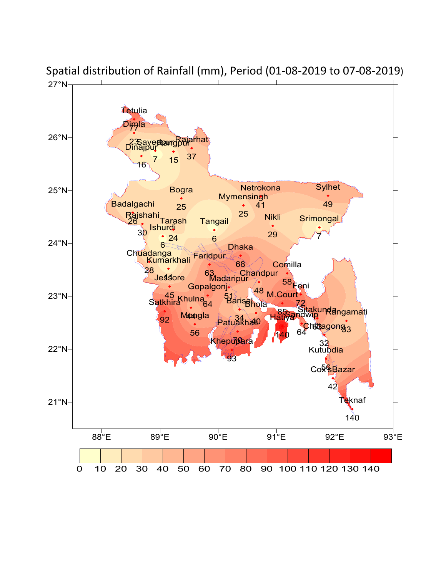

Spatial distribution of Rainfall (mm), Period (01-08-2019 to 07-08-2019)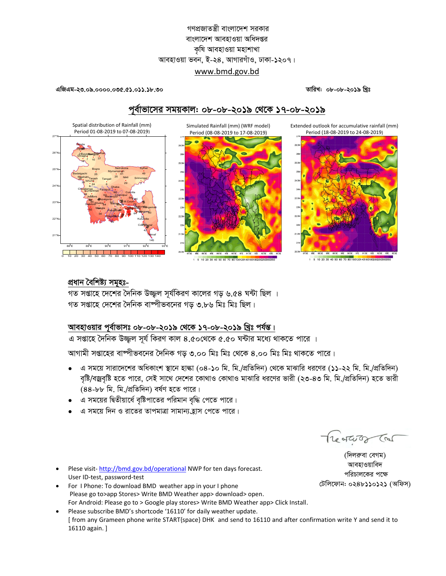## গণপ্রজাতন্ত্রী বাংলাদেশ সরকার বাংলাদেশ আবহাওয়া অধিদপ্তর কৃষি আবহাওয়া মহাশাখা আবহাওয়া ভবন, ই-২৪, আগারগাঁও, ঢাকা-১২০৭। www.bmd.gov.bd

এজিএম-২৩.০৯.০০০০.০৩৫.৫১.০১১.১৮.৩০

তারিখ: ০৮-০৮-২০১৯ খিঃ

Extended outlook for accumulative rainfall (mm)

Period (18-08-2019 to 24-08-2019)

# পূর্বাভাসের সময়কাল: ০৮-০৮-২০১৯ থেকে ১৭-০৮-২০১৯

Simulated Rainfall (mm) (WRF model)





1 5 10 20 30 40 50 60 70 80 1001201401601802002503

5 10 20 30 40 50 60 70 80 1001201401601802002

## প্ৰধান বৈশিষ্ট্য সমূহঃ-

গত সপ্তাহে দেশের দৈনিক উজ্জল সর্যকিরণ কালের গড় ৬.৫৪ ঘন্টা ছিল । গত সপ্তাহে দেশের দৈনিক বাষ্পীভবনের গড ৩.৮৬ মিঃ মিঃ ছিল।

## আবহাওয়ার পূর্বাভাসঃ ০৮-০৮-২০১৯ থেকে ১৭-০৮-২০১৯ খ্রিঃ পর্যন্ত।

এ সপ্তাহে দৈনিক উজ্জল সূর্য কিরণ কাল ৪.৫০থেকে ৫.৫০ ঘন্টার মধ্যে থাকতে পারে ।

আগামী সপ্তাহের বাম্পীভবনের দৈনিক গড় ৩.০০ মিঃ মিঃ থেকে ৪.০০ মিঃ মিঃ থাকতে পারে।

- এ সময়ে সারাদেশের অধিকাংশ স্থানে হাল্কা (০৪-১০ মি. মি./প্রতিদিন) থেকে মাঝারি ধরণের (১১-২২ মি. মি./প্রতিদিন) বৃষ্টি/বজ্রবৃষ্টি হতে পারে, সেই সাথে দেশের কোথাও কোথাও মাঝারি ধরণের ভারী (২৩-৪৩ মি. মি./প্রতিদিন) হতে ভারী (88-৮৮ মি. মি./প্রতিদিন) বর্ষণ হতে পারে।
- এ সময়ের দ্বিতীয়ার্ধে বৃষ্টিপাতের পরিমান বৃদ্ধি পেতে পারে।
- এ সময়ে দিন ও রাতের তাপমাত্রা সামান্য হাস পেতে পারে।

Plese visit-http://bmd.gov.bd/operational NWP for ten days forecast. User ID-test, password-test

- For I Phone: To download BMD weather app in your I phone Please go to>app Stores> Write BMD Weather app> download> open. For Android: Please go to > Google play stores> Write BMD Weather app> Click Install.
- Please subscribe BMD's shortcode '16110' for daily weather update. [ from any Grameen phone write START{space} DHK and send to 16110 and after confirmation write Y and send it to 16110 again. ]

The of God (Bar)

আবহাওয়াবিদ পরিচালকের পক্ষে টেলিফোন: ০২৪৮১১০১২১ (অফিস)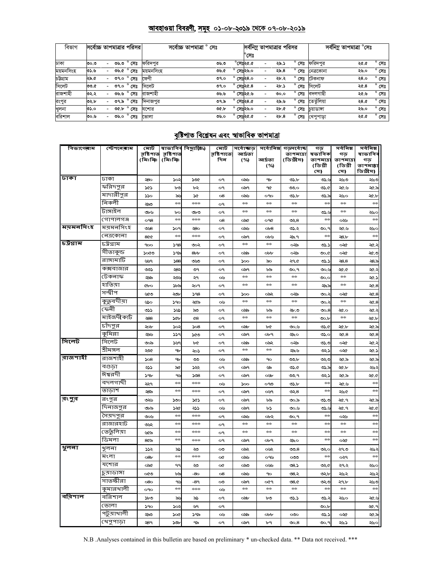#### <u> আবহাওয়া বিবরণী, সমূহ ০১-০৮-২০১৯ থেকে ০৭-০৮-২০১৯</u>

| বিভাগ     | সর্বোচ্চ তাপমাত্রার পরিসর। |                          |      |                |           | সৰ্বোচ্চ তাপমাত্ৰা<br>' সেঃ |      |                    | সর্বনিম্ন তাপমাত্রার পরিসর |  |      | সর্বনিম্ন তাপমাত্রা °সেঃ |                         |      |                |
|-----------|----------------------------|--------------------------|------|----------------|-----------|-----------------------------|------|--------------------|----------------------------|--|------|--------------------------|-------------------------|------|----------------|
|           |                            |                          |      |                |           |                             |      |                    | $^{\circ}$ সেঃ             |  |      |                          |                         |      |                |
| ঢাকা      | ಲ.೦೦                       |                          |      | ৩৬.৩ ° সেঃ     | ফরিদপর    |                             | ৩৬৩  |                    | $^{\circ}$ সেঃ২৫.৫         |  | ২৯.১ | $^{\circ}$ সেঃ           | ফরিদপুর                 | ২৫.৫ | $^{\circ}$ সেঃ |
| ময়মনসিংহ | ৩১.৬                       | $\overline{\phantom{0}}$ | ৩৬.৫ | $^{\circ}$ সেঃ | ময়মনসিংহ |                             | ৩৬.৫ |                    | সেঃ২৬.০                    |  | ২৯.৪ | সেঃ                      | নেত্ৰকোনা               | ২৬.০ | $^{\circ}$ সেঃ |
| চউগ্ৰাম   | ২৯.৫                       |                          | 09.0 | $^{\circ}$ সেঃ | ফেণী      |                             | 09.0 | $^{\circ}$ সেঃ২৪.০ |                            |  | ২৮.২ | $^{\circ}$ সেঃ           | টেকনাফ                  | २8.० | $^{\circ}$ সেঃ |
| সিলেট     | ৩৩.৫                       |                          | ৩৭.০ | $^{\circ}$ সেঃ | সিলেট     |                             | ৩৭.০ | $^{\circ}$ সেঃ২৫.৪ |                            |  | ২৮.১ | $^{\circ}$ সেঃ           | সিলেট                   | ২৫.৪ | $^{\circ}$ সেঃ |
| রাজশাহী   | ৩২.২                       |                          | ৩৬৬  | $^{\circ}$ সেঃ | রাজশাহী   |                             | ৩৬৬  | $^{\circ}$ সেঃ২৫.৬ |                            |  | 0.00 | $^{\circ}$ সেঃ           | বদলগাছী                 | ২৫.৬ | $^{\circ}$ সেঃ |
| রংপুর     | ৩২.৮                       |                          | ৩৭.৯ | $^{\circ}$ সেঃ | দিনাজপর   |                             | ৩৭.৯ |                    | সেঃ২৪.৫                    |  | ২৯.৬ | $^{\circ}$<br>সেঃ        | তেতঁলিয়া               | ২৪.৫ | $^{\circ}$ সেঃ |
| খুলনা     | ৩১.০                       |                          |      | ৩৫.৮ ° সেঃ     | যশোর      |                             | 00.5 | $\circ$            | সেঃ২৬.০                    |  | ২৮.৫ | সেঃ                      | চয়াডাঙ্গা              | ২৬.০ | $^{\circ}$ সেঃ |
| বরিশাল    | ৩০.৬                       |                          | ৩৬.০ | $^{\circ}$ সেঃ | ভোলা      |                             | ৩৬.০ | $^{\circ}$ সেঃ২৫.৫ |                            |  | ২৮.৪ |                          | <b>° সেঃ খে</b> পুপাড়া | ২৫.৫ | $^{\circ}$ সেঃ |

# <u>বৃষ্টিপাত বিশ্লেষন এবং স্বাভাবিক তাপমাত্রা</u>

| বিভাগেৰাম | স্টেশ <b>নে</b> ৰাম | মোট                 |                      | <u>ৰাভা</u> বিৰ বিছ্যুঞ্জি⁄) | মোট        | সৰ্বোজ্ঞত     | সৰ্বোনিম্ন      | গড়সৰ্বোষ্ক   | গড                   | সৰ্বনিম্ন           | সৰ্বনিম্ন       |
|-----------|---------------------|---------------------|----------------------|------------------------------|------------|---------------|-----------------|---------------|----------------------|---------------------|-----------------|
|           |                     | রষ্টিপাত<br>(মিঃমিঃ | রৃষ্টিপাত<br>(মিঃমিঃ |                              | রষ্টিশাতে: | আৰ্দ্ৰতা      |                 | তাপমাত্রা     | ষভাবিক               | গড                  | ষাভাবিব         |
|           |                     |                     |                      |                              | দিন        | (%)           | আৰ্দ্ৰতা<br>(%) | (ডিগ্রীস)     | তাপমাত্রা<br>(ডিগ্ৰী | তাপমাত্র<br>(ডিগ্ৰী | গড<br>তাপমাল্লা |
|           |                     |                     |                      |                              |            |               |                 |               | সে)                  | সে)                 | ডিগ্ৰীস)        |
| ঢাকা      | ঢাকা                | 580                 | 502                  | soc                          | ο٩         | ಂನು           | 9b              | 05.5          | في ذك                | ২৬৩                 | ২৬৩             |
|           | ফরিদপুর             | ১৫১                 | ৮৩                   | ৮২                           | о۹         | ಂಎ੧           | ዓ৫              | ುಂ            | ৩১.৫                 | ২৫.৬                | ২৫.৯            |
|           | মাদারীপুর           | ১১০                 | ৯১                   | ১৫                           | 08         | ಂನು           | oqo             | ৩১.৮          | ৩১.৯                 | ২৬০                 | ২৫.b            |
|           | নিকলী               | ುನ                  | $+ +$                | ***                          | o٩         | $*$           | $*$             | $\frac{1}{2}$ | $+ +$                | $2\pi$              | $+ +$           |
|           | টাঙ্গাইল            | ৩৮৬                 | Ъс                   | ৩৮৩                          | o٩         | $*$           | $2\pi$          | $\frac{1}{2}$ | ی دی                 | $2\pi$              | ২৬০             |
|           | গোপালগঞ্জ           | O <sub>98</sub>     | $\frac{1}{2}$        | stesteste                    | 08         | ০৯৫           | O9Q             | ৩২৪           | $\frac{1}{2}$        | ০২৬                 | $+1$            |
| ময়মনসিংহ | ময়মনসিংহ           | ುಚಿ                 | ১০৭                  | ২৪০                          | o٩         | ಂನು           | ob8             | ৩১.২          | ৩০.৭                 | ২৫.৬                | ২৬০             |
|           | নেত্ৰকোনা           | 800                 | 2626                 | ***                          | ο٩         | ಂಎ੧           | ০৮৬             | ২৯.৭          | $\frac{1}{2}$        | 28.5                | $\star$         |
| চট্টগ্ৰাম | চট্ৰগ্ৰাম           | 900                 | 598                  | ৩০২                          | o٩         | $\pm 0$       | $\pm 1$         | ০২৯           | ৩১.১                 | ০২৫                 | ২৫.২            |
|           | সীতাকুন্ড           | ১০৫৩                | ১৭৯                  | 8 <sub>ob</sub>              | o٩         | ০৯৯           | $_{\rm{obb}}$   | ০২৯           | ৩০.৫                 | ০২৫                 | ২৫.৩            |
|           | রাঙ্গামাটি          | ৬৬৭                 | 588                  | ುಲ                           | o٩         | 500           | వం              | ২৭৫           | ৩১.১                 | 58.8                | 28.5            |
|           | কক্সবাজার           | ಲು                  | -83                  | ৩৭                           | o٩         | ಂಎ੧           | ৮৯              | ৩০.৭          | ৩০.৬                 | <b>D.SF</b>         | ২৫.২            |
|           | টেকনাফ              | ২৯৯                 | ২৩৬                  | ২৭                           | ০৬         | $\frac{1}{2}$ | $\frac{1}{2}$   | $\frac{1}{2}$ | ৩০.০                 | $\frac{1}{2}$       | ২৫.১            |
|           | হাতিয়া             | Cbo                 | ১৮৯                  | ২০৭                          | o٩         | abc c         | ojenje          | $\star$       | ২৯.৯                 | $\frac{1}{2}$       | $\propto 8$     |
|           | সন্দ্বীপ            | ৬৫৩                 | ২৩৮                  | 598                          | o٩         | 500           | ০৯২             | ০২৯           | ು.২                  | ০২৫                 | $\propto 8$     |
|           | কুত্নবদীয়া         | టం                  | 59c                  | ২৫৯                          | ০৬         | $*$           | **              | $*$           | ು.                   | **                  | $\propto 8$     |
|           | ফেনী                | ৩১১                 | 362                  | ನು                           | o٩         | ০৯৯           | ৮৯              | ঞ-৩           | $\infty.8$           | ২৫.০                | ২৫.২            |
|           | মাইজদীকাৰ্ট         | ২88                 | <b>SGb</b>           | $^{68}$                      | o٩         | $*$           | $2\pi$          | $\frac{1}{2}$ | $\infty$             | $\pm\pm$            | ২৫.৮            |
|           | চাঁদপুর             | ২০৮                 | $\infty$             | 508                          | o٩         | ಂನು           | ৮৫              | ৩০.৬          | ৩১.৫                 | ২৫.৮                | ২৫.৯            |
|           | কুমিল্লা            | ২৯৬                 | ∍دد                  | ১৫৩                          | o٩         | ಂಎ੧           | ০৮৭             | ২৯০           | ৩১.০                 | $\propto 8$         | $\mathcal{A}8$  |
| সিলেট     | সিলেট               | ಲಂ                  | ১৬৭                  | ৮৫                           | o٩         | ০৯৯           | ০৯২             | ০২৯           | ৩১.৩                 | ০২৫                 | -36             |
|           | শ্ৰীমঙ্গল           | ২০৫                 | 9b                   | ২০১                          | o٩         | $\frac{1}{2}$ | rich            | ২৯৬           | دجی                  | ০২৫                 | ২৫.১            |
| রাজশাহী   | রাজশাহী             | 508                 | 9b                   | ು                            | ০৬         | ంపు           | 90              | ಲಾರ್          | ುು                   | ২৫.৯                | ২৫.৯            |
|           | বগুড়া              | ২১১                 | ৯৫                   | ১৯২                          | o٩         | ಂಎ੧           | ৬৯              | ৩১.৫          | ৩১.৯                 | ২৫.৮                | جيريد           |
|           | ঈশ্বরদী             | ১৭৮                 | ٩Ŀ                   | 508                          | o٩         | ಂಎ੧           | oУb             | ৩৩.৭          | دجی                  | ২৫.৯                | <b>20.0</b>     |
|           | বদলগাছী             | ২২৭                 | **                   | ***                          | ০৬         | 500           | ೧೪೦             | ৩১.৮          | $\frac{1}{2}$        | -১৯২                | $\frac{1}{2}$   |
|           | তাডাশ               | ২৪৯                 | $\star$              | $*$                          | o٩         | ಂಎ੧           | oyq             | లు, $8$       | $+$                  | ২৬৫                 | $\frac{1}{2}$   |
| রংপুর     | রংপুর               | ৩২৬                 | ১৩૮                  | ১৫১                          | o٩         | ০৯৭           | ৮৯              | ৩০.৯          | ৩১.৩                 | ২৫.৭                | ২৫.৯            |
|           | দিনাজপুর            | ৩৮৯                 | ১২৫                  | ২১১                          | ০৬         | ಂಎ੧           | ৮১              | ৩০.৬          | ي دن                 | ২৫.৭                | <b>20.0</b>     |
|           | সৈয়দপুর            | ৩০৬                 | **                   | ***                          | o٩         | ಂನು           | ০৮২             | ৩০.৭          | **                   | ০২৬                 | $+2+$           |
|           | রাজারহাট            | ৩৬২                 | **                   | ***                          | o٩         | $\frac{1}{2}$ | abc c           | $\frac{1}{2}$ | $*$                  | abc c               | $\frac{1}{2}$   |
|           | ভের্তুলিয়া         | ৬৫৯                 | $+1$                 | $*$                          | ο٩         | $*$           | $\frac{1}{2}$   | $\frac{1}{2}$ | $+ +$                | $\frac{1}{2}$       | $\frac{1}{2}$   |
|           | ডিমলা               | $8$ රික             | $*$                  | ***                          | o٩         | ಂಎ੧           | ०৮৭             | ২৯০           | rich                 | ০২৫                 | $\frac{1}{2}$   |
| भूलना     | খুলনা               | ১১২                 | ৯১                   | ২৩                           | $\infty$   | ০৯২           | ০৬২             | 5.8           | ುುಂ                  | ২৭৩                 | ২৬২             |
|           | মংলা                | o8b                 | $+1$                 | ricricric                    | œ          | ಂನು           | ০৭৬             | ಯಿ            | $+ +$                | ૦૨૧                 | $+ \times$      |
|           | যশোর                | ০৯৫                 | ۹۹                   | ২৩                           | œ          | ಂನಿಂ          | ০৬৬             | ৩৪.১          | ৩২৫                  | ২৭২                 | ২৬০             |
|           | চুয়াডাঙ্গা         | ∞∞                  | ৮৯                   | -80                          | 08         | ಂನು           | 90              | ৩৪.২          | ৩২.৮                 | ২৬২                 | ډيډ             |
|           | সাতক্ষীরা           | 080                 | ٩٤                   | -89                          | ು          | ಂಎ੧           | ०৫৭             | 08.0          | ುು                   | ২৭৮                 | ২৬৩             |
|           | কুমারখালী           | OPO                 | $+1$                 | ***                          | ০৬         | $\frac{1}{2}$ | $\pm 1$         | $\pm 1$       | **                   | $\pm 1$             | $+ +$           |
| বরিশাল    | বরিশাল              | ১৮৩                 | ৯৬                   | ৯১                           | o٩         | ಂನು           | ৮৩              | ৩১.১          | లు.-                 | ২৬০                 | 43              |
|           | ভোলা                | 590                 | 502                  | ৬৭                           | o٩         |               |                 |               | $\infty$             |                     | ২৫.৭            |
|           | পটুয়াথালী          | ುನ                  | ১০৫                  | ১৭৯                          | ০৬         | ০৯৯           | $_{\rm{obs}}$   | $\infty$      | ৩১.১                 | ০২৫                 | ২৫.৯            |
|           | খেপুপাড়া           | ২৪৭                 | 30 <sub>b</sub>      | ዓ৯                           | o٩         | ಂಎ੧           | ৮৭              | $\infty.8$    | ৩০.৭                 | ২৬১                 | ২৬০             |

N.B .Analyses contained in this bulletin are based on preliminary \* un-checked data. \*\* Data not received. \*\*\*